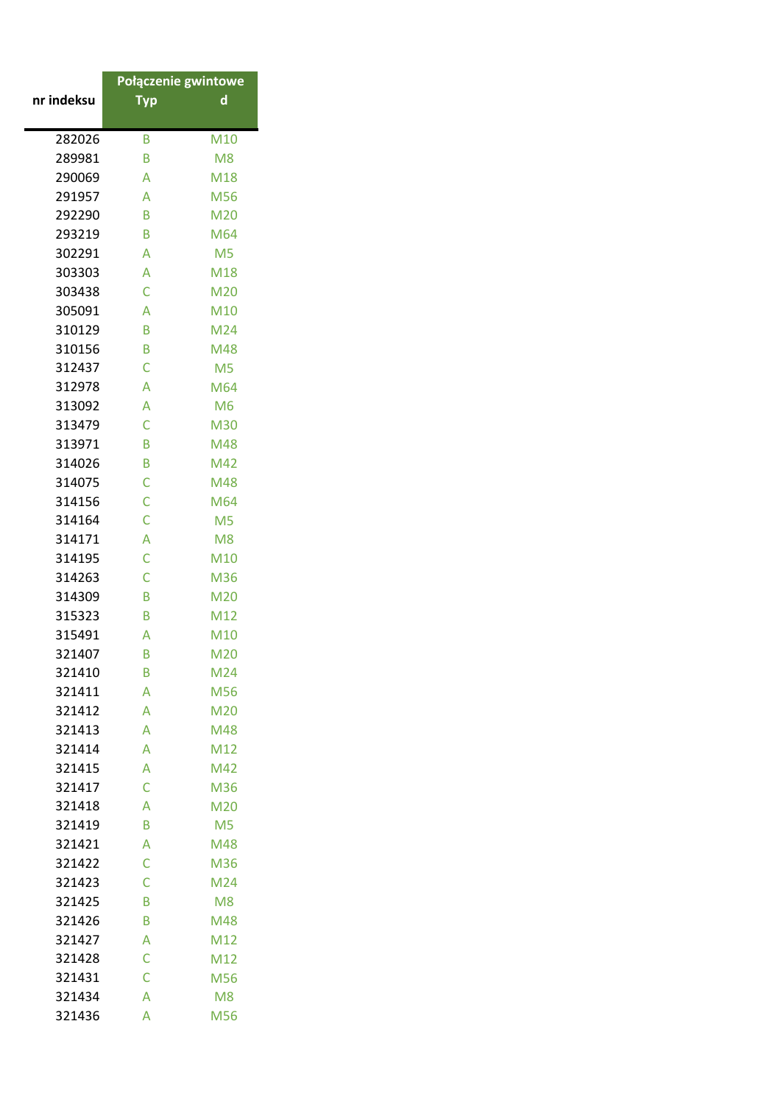|            | Połączenie gwintowe |                |
|------------|---------------------|----------------|
| nr indeksu | Тур                 | d              |
| 282026     | B                   | M10            |
| 289981     | B                   | M <sub>8</sub> |
| 290069     | A                   | M18            |
| 291957     | A                   | M56            |
| 292290     | B                   | M20            |
| 293219     | B                   | M64            |
| 302291     | A                   | M <sub>5</sub> |
| 303303     | A                   | M18            |
| 303438     | Ċ                   | M20            |
| 305091     | A                   | M10            |
| 310129     | B                   | M24            |
| 310156     | B                   | M48            |
| 312437     | Ċ                   | M <sub>5</sub> |
| 312978     | A                   | M64            |
| 313092     | A                   | M <sub>6</sub> |
| 313479     | C                   | M30            |
| 313971     | B                   | M48            |
| 314026     | B                   | M42            |
| 314075     | Ċ                   | M48            |
| 314156     | Ċ                   | M64            |
| 314164     | Ċ                   | M <sub>5</sub> |
| 314171     | A                   | M <sub>8</sub> |
| 314195     | Ċ                   | M10            |
| 314263     | Ċ                   | M36            |
| 314309     | B                   | M20            |
| 315323     | B                   | M12            |
| 315491     | A                   | M10            |
| 321407     | B                   | M20            |
| 321410     | B                   | M24            |
| 321411     | A                   | M56            |
| 321412     | Α                   | M20            |
| 321413     | A                   | M48            |
| 321414     | A                   | M12            |
| 321415     | A                   | M42            |
| 321417     | C                   | M36            |
| 321418     | A                   | M20            |
| 321419     | B                   | M <sub>5</sub> |
| 321421     | A                   | M48            |
| 321422     | Ċ                   | M36            |
| 321423     | Ċ                   | M24            |
| 321425     | B                   | M <sub>8</sub> |
| 321426     | B                   | M48            |
| 321427     | A                   | M12            |
| 321428     | C                   | M12            |
| 321431     | Ċ                   | M56            |
| 321434     | A                   | M <sub>8</sub> |
| 321436     | A                   | M56            |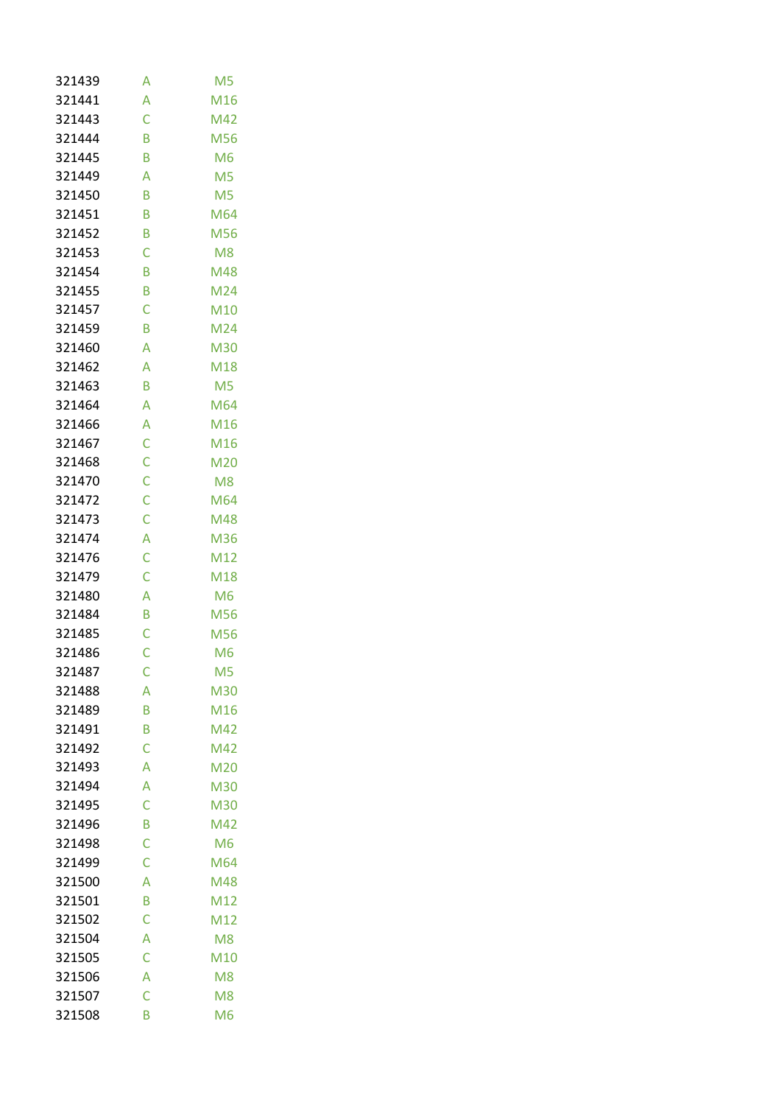| 321439 | Α | M <sub>5</sub> |
|--------|---|----------------|
| 321441 | A | M16            |
| 321443 | Ċ | M42            |
| 321444 | B | M56            |
| 321445 | B | M <sub>6</sub> |
| 321449 | A | M <sub>5</sub> |
| 321450 | B | M <sub>5</sub> |
| 321451 | B | M64            |
| 321452 | B | M56            |
| 321453 | C | M <sub>8</sub> |
| 321454 | B | M48            |
| 321455 | B | M24            |
| 321457 | Ċ | M10            |
| 321459 | B | M24            |
| 321460 | A | M30            |
| 321462 | A | M18            |
| 321463 | B | M <sub>5</sub> |
| 321464 | A | M64            |
| 321466 | A | M16            |
| 321467 | C | M16            |
| 321468 | C | M20            |
| 321470 | C | M <sub>8</sub> |
| 321472 | Ċ | M64            |
| 321473 | Ċ | M48            |
| 321474 | A | M36            |
| 321476 | Ċ | M12            |
| 321479 | Ċ | M18            |
| 321480 | A | M <sub>6</sub> |
| 321484 | B | M56            |
| 321485 | Ċ | M56            |
| 321486 | Ċ | M <sub>6</sub> |
| 321487 | С | M <sub>5</sub> |
| 321488 | A | M30            |
| 321489 | B | M16            |
| 321491 | B | M42            |
| 321492 | Ċ | M42            |
| 321493 | A | M20            |
| 321494 | A | M30            |
| 321495 | Ċ | M30            |
| 321496 | B | M42            |
| 321498 | C | M <sub>6</sub> |
| 321499 | Ċ | M64            |
| 321500 | A | M48            |
| 321501 | B | M12            |
| 321502 | Ċ | M12            |
| 321504 | A | M <sub>8</sub> |
| 321505 | C | M10            |
| 321506 | A | M <sub>8</sub> |
| 321507 | Ċ | M <sub>8</sub> |
| 321508 | B | M <sub>6</sub> |
|        |   |                |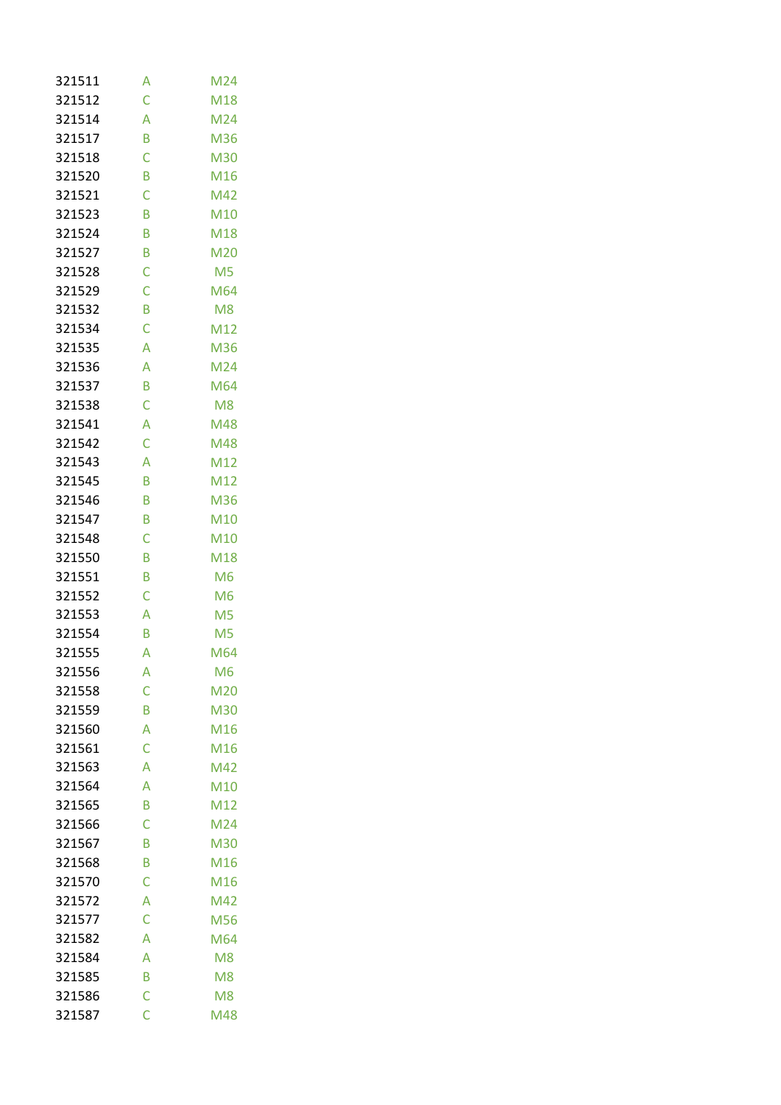| 321511 | Α | M24            |
|--------|---|----------------|
| 321512 | Ċ | M18            |
| 321514 | A | M24            |
| 321517 | B | M36            |
| 321518 | Ċ | M30            |
| 321520 | B | M16            |
| 321521 | Ċ | M42            |
| 321523 | B | M10            |
| 321524 | B | M18            |
| 321527 | B | M20            |
| 321528 | Ċ | M <sub>5</sub> |
| 321529 | Ċ | M64            |
| 321532 | B | M <sub>8</sub> |
| 321534 | Ċ | M12            |
| 321535 | A | M36            |
| 321536 | A | M24            |
| 321537 | B | M64            |
| 321538 | Ċ | M <sub>8</sub> |
| 321541 | A | M48            |
| 321542 | C | M48            |
| 321543 | A | M12            |
| 321545 | B | M12            |
| 321546 | B | M36            |
| 321547 | B | M10            |
| 321548 | Ċ | M10            |
| 321550 | B | M18            |
| 321551 | B | M <sub>6</sub> |
| 321552 | Ċ | M <sub>6</sub> |
| 321553 | A | M <sub>5</sub> |
| 321554 | B | M <sub>5</sub> |
| 321555 | A | M64            |
| 321556 | А | M <sub>6</sub> |
| 321558 | Ċ | M20            |
| 321559 | B | M30            |
| 321560 | A | M16            |
| 321561 | C | M16            |
| 321563 | A | M42            |
| 321564 | A | M10            |
| 321565 | B | M12            |
| 321566 | Ċ | M24            |
| 321567 | B | M30            |
| 321568 | B | M16            |
| 321570 | Ċ | M16            |
| 321572 | A | M42            |
| 321577 | Ċ | M56            |
| 321582 | A | M64            |
| 321584 | A | M <sub>8</sub> |
| 321585 | B | M <sub>8</sub> |
| 321586 | Ċ | M <sub>8</sub> |
| 321587 | Ċ | M48            |